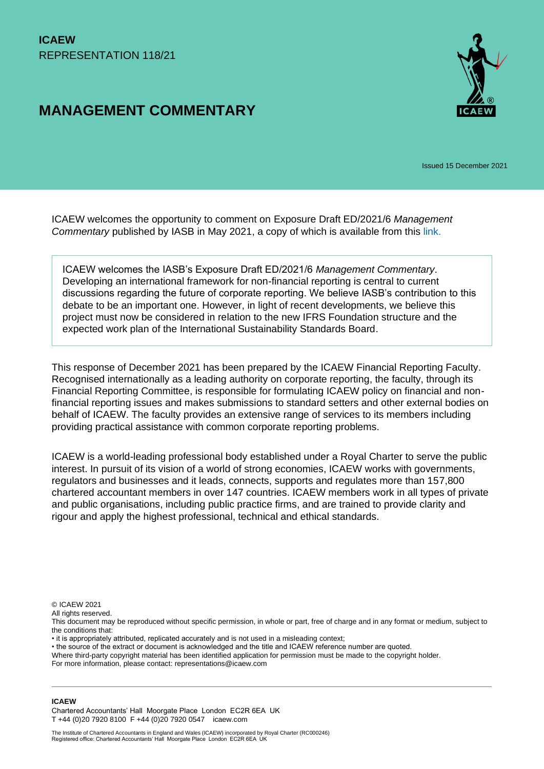# **MANAGEMENT COMMENTARY**



Issued 15 December 2021

ICAEW welcomes the opportunity to comment on Exposure Draft ED/2021/6 *Management Commentary* published by IASB in May 2021, a copy of which is available from this [link.](https://www.ifrs.org/content/dam/ifrs/project/management-commentary/ed-2021-6-management-commentary.pdf)

ICAEW welcomes the IASB's Exposure Draft ED/2021/6 *Management Commentary*. Developing an international framework for non-financial reporting is central to current discussions regarding the future of corporate reporting. We believe IASB's contribution to this debate to be an important one. However, in light of recent developments, we believe this project must now be considered in relation to the new IFRS Foundation structure and the expected work plan of the International Sustainability Standards Board.

This response of December 2021 has been prepared by the ICAEW Financial Reporting Faculty. Recognised internationally as a leading authority on corporate reporting, the faculty, through its Financial Reporting Committee, is responsible for formulating ICAEW policy on financial and nonfinancial reporting issues and makes submissions to standard setters and other external bodies on behalf of ICAEW. The faculty provides an extensive range of services to its members including providing practical assistance with common corporate reporting problems.

ICAEW is a world-leading professional body established under a Royal Charter to serve the public interest. In pursuit of its vision of a world of strong economies, ICAEW works with governments, regulators and businesses and it leads, connects, supports and regulates more than 157,800 chartered accountant members in over 147 countries. ICAEW members work in all types of private and public organisations, including public practice firms, and are trained to provide clarity and rigour and apply the highest professional, technical and ethical standards.

© ICAEW 2021

All rights reserved.

- it is appropriately attributed, replicated accurately and is not used in a misleading context;
- the source of the extract or document is acknowledged and the title and ICAEW reference number are quoted.

Where third-party copyright material has been identified application for permission must be made to the copyright holder.

For more information, please contact: representations@icaew.com

#### **ICAEW**

Chartered Accountants' Hall Moorgate Place London EC2R 6EA UK T +44 (0)20 7920 8100 F +44 (0)20 7920 0547 icaew.com

This document may be reproduced without specific permission, in whole or part, free of charge and in any format or medium, subject to the conditions that: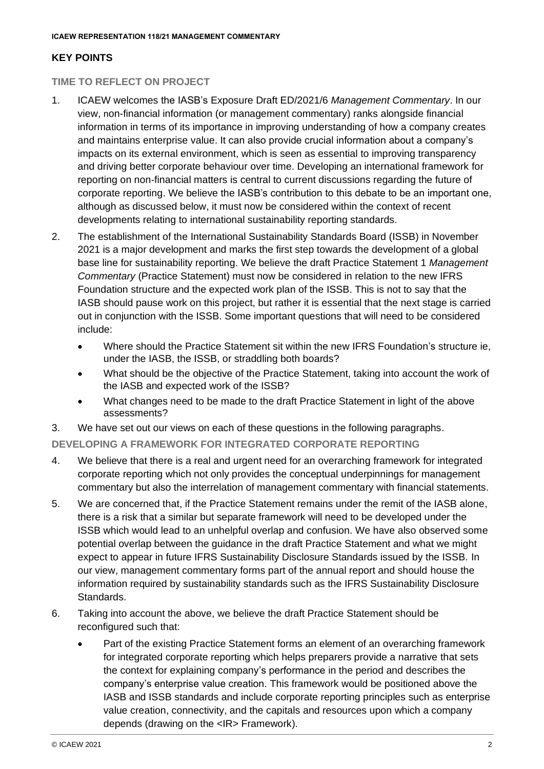#### **KEY POINTS**

#### **TIME TO REFLECT ON PROJECT**

- 1. ICAEW welcomes the IASB's Exposure Draft ED/2021/6 *Management Commentary*. In our view, non-financial information (or management commentary) ranks alongside financial information in terms of its importance in improving understanding of how a company creates and maintains enterprise value. It can also provide crucial information about a company's impacts on its external environment, which is seen as essential to improving transparency and driving better corporate behaviour over time. Developing an international framework for reporting on non-financial matters is central to current discussions regarding the future of corporate reporting. We believe the IASB's contribution to this debate to be an important one, although as discussed below, it must now be considered within the context of recent developments relating to international sustainability reporting standards.
- 2. The establishment of the International Sustainability Standards Board (ISSB) in November 2021 is a major development and marks the first step towards the development of a global base line for sustainability reporting. We believe the draft Practice Statement 1 *Management Commentary* (Practice Statement) must now be considered in relation to the new IFRS Foundation structure and the expected work plan of the ISSB. This is not to say that the IASB should pause work on this project, but rather it is essential that the next stage is carried out in conjunction with the ISSB. Some important questions that will need to be considered include:
	- Where should the Practice Statement sit within the new IFRS Foundation's structure ie, under the IASB, the ISSB, or straddling both boards?
	- What should be the objective of the Practice Statement, taking into account the work of the IASB and expected work of the ISSB?
	- What changes need to be made to the draft Practice Statement in light of the above assessments?
- 3. We have set out our views on each of these questions in the following paragraphs.

#### **DEVELOPING A FRAMEWORK FOR INTEGRATED CORPORATE REPORTING**

- 4. We believe that there is a real and urgent need for an overarching framework for integrated corporate reporting which not only provides the conceptual underpinnings for management commentary but also the interrelation of management commentary with financial statements.
- 5. We are concerned that, if the Practice Statement remains under the remit of the IASB alone, there is a risk that a similar but separate framework will need to be developed under the ISSB which would lead to an unhelpful overlap and confusion. We have also observed some potential overlap between the guidance in the draft Practice Statement and what we might expect to appear in future IFRS Sustainability Disclosure Standards issued by the ISSB. In our view, management commentary forms part of the annual report and should house the information required by sustainability standards such as the IFRS Sustainability Disclosure Standards.
- 6. Taking into account the above, we believe the draft Practice Statement should be reconfigured such that:
	- Part of the existing Practice Statement forms an element of an overarching framework for integrated corporate reporting which helps preparers provide a narrative that sets the context for explaining company's performance in the period and describes the company's enterprise value creation. This framework would be positioned above the IASB and ISSB standards and include corporate reporting principles such as enterprise value creation, connectivity, and the capitals and resources upon which a company depends (drawing on the <IR> Framework).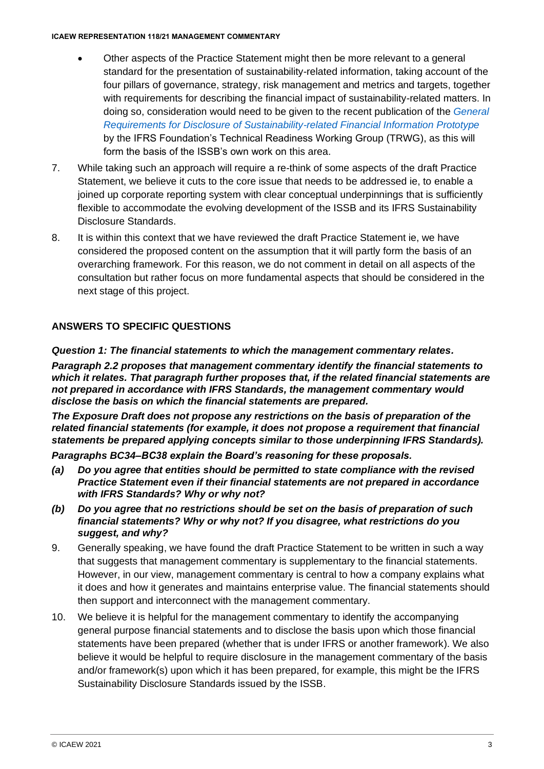#### **ICAEW REPRESENTATION 118/21 MANAGEMENT COMMENTARY**

- Other aspects of the Practice Statement might then be more relevant to a general standard for the presentation of sustainability-related information, taking account of the four pillars of governance, strategy, risk management and metrics and targets, together with requirements for describing the financial impact of sustainability-related matters. In doing so, consideration would need to be given to the recent publication of the *[General](https://www.ifrs.org/content/dam/ifrs/groups/trwg/trwg-general-requirements-prototype.pdf)  [Requirements for Disclosure of Sustainability-related Financial Information Prototype](https://www.ifrs.org/content/dam/ifrs/groups/trwg/trwg-general-requirements-prototype.pdf)* by the IFRS Foundation's Technical Readiness Working Group (TRWG), as this will form the basis of the ISSB's own work on this area.
- 7. While taking such an approach will require a re-think of some aspects of the draft Practice Statement, we believe it cuts to the core issue that needs to be addressed ie, to enable a joined up corporate reporting system with clear conceptual underpinnings that is sufficiently flexible to accommodate the evolving development of the ISSB and its IFRS Sustainability Disclosure Standards.
- 8. It is within this context that we have reviewed the draft Practice Statement ie, we have considered the proposed content on the assumption that it will partly form the basis of an overarching framework. For this reason, we do not comment in detail on all aspects of the consultation but rather focus on more fundamental aspects that should be considered in the next stage of this project.

# **ANSWERS TO SPECIFIC QUESTIONS**

#### *Question 1: The financial statements to which the management commentary relates.*

*Paragraph 2.2 proposes that management commentary identify the financial statements to which it relates. That paragraph further proposes that, if the related financial statements are not prepared in accordance with IFRS Standards, the management commentary would disclose the basis on which the financial statements are prepared.* 

*The Exposure Draft does not propose any restrictions on the basis of preparation of the related financial statements (for example, it does not propose a requirement that financial statements be prepared applying concepts similar to those underpinning IFRS Standards).* 

*Paragraphs BC34–BC38 explain the Board's reasoning for these proposals.* 

- *(a) Do you agree that entities should be permitted to state compliance with the revised Practice Statement even if their financial statements are not prepared in accordance with IFRS Standards? Why or why not?*
- *(b) Do you agree that no restrictions should be set on the basis of preparation of such financial statements? Why or why not? If you disagree, what restrictions do you suggest, and why?*
- 9. Generally speaking, we have found the draft Practice Statement to be written in such a way that suggests that management commentary is supplementary to the financial statements. However, in our view, management commentary is central to how a company explains what it does and how it generates and maintains enterprise value. The financial statements should then support and interconnect with the management commentary.
- 10. We believe it is helpful for the management commentary to identify the accompanying general purpose financial statements and to disclose the basis upon which those financial statements have been prepared (whether that is under IFRS or another framework). We also believe it would be helpful to require disclosure in the management commentary of the basis and/or framework(s) upon which it has been prepared, for example, this might be the IFRS Sustainability Disclosure Standards issued by the ISSB.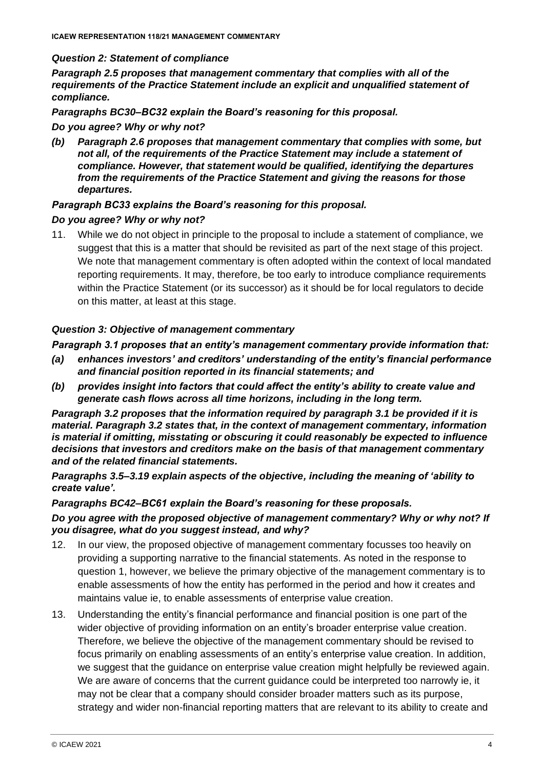#### *Question 2: Statement of compliance*

*Paragraph 2.5 proposes that management commentary that complies with all of the requirements of the Practice Statement include an explicit and unqualified statement of compliance.* 

*Paragraphs BC30–BC32 explain the Board's reasoning for this proposal.* 

#### *Do you agree? Why or why not?*

*(b) Paragraph 2.6 proposes that management commentary that complies with some, but*  not all, of the requirements of the Practice Statement may include a statement of *compliance. However, that statement would be qualified, identifying the departures from the requirements of the Practice Statement and giving the reasons for those departures.* 

#### *Paragraph BC33 explains the Board's reasoning for this proposal.*

#### *Do you agree? Why or why not?*

11. While we do not object in principle to the proposal to include a statement of compliance, we suggest that this is a matter that should be revisited as part of the next stage of this project. We note that management commentary is often adopted within the context of local mandated reporting requirements. It may, therefore, be too early to introduce compliance requirements within the Practice Statement (or its successor) as it should be for local regulators to decide on this matter, at least at this stage.

#### *Question 3: Objective of management commentary*

#### *Paragraph 3.1 proposes that an entity's management commentary provide information that:*

- *(a) enhances investors' and creditors' understanding of the entity's financial performance and financial position reported in its financial statements; and*
- *(b) provides insight into factors that could affect the entity's ability to create value and generate cash flows across all time horizons, including in the long term.*

*Paragraph 3.2 proposes that the information required by paragraph 3.1 be provided if it is material. Paragraph 3.2 states that, in the context of management commentary, information is material if omitting, misstating or obscuring it could reasonably be expected to influence decisions that investors and creditors make on the basis of that management commentary and of the related financial statements.* 

*Paragraphs 3.5–3.19 explain aspects of the objective, including the meaning of 'ability to create value'.* 

#### *Paragraphs BC42–BC61 explain the Board's reasoning for these proposals.*

*Do you agree with the proposed objective of management commentary? Why or why not? If you disagree, what do you suggest instead, and why?*

- 12. In our view, the proposed objective of management commentary focusses too heavily on providing a supporting narrative to the financial statements. As noted in the response to question 1, however, we believe the primary objective of the management commentary is to enable assessments of how the entity has performed in the period and how it creates and maintains value ie, to enable assessments of enterprise value creation.
- 13. Understanding the entity's financial performance and financial position is one part of the wider objective of providing information on an entity's broader enterprise value creation. Therefore, we believe the objective of the management commentary should be revised to focus primarily on enabling assessments of an entity's enterprise value creation. In addition, we suggest that the guidance on enterprise value creation might helpfully be reviewed again. We are aware of concerns that the current guidance could be interpreted too narrowly ie, it may not be clear that a company should consider broader matters such as its purpose, strategy and wider non-financial reporting matters that are relevant to its ability to create and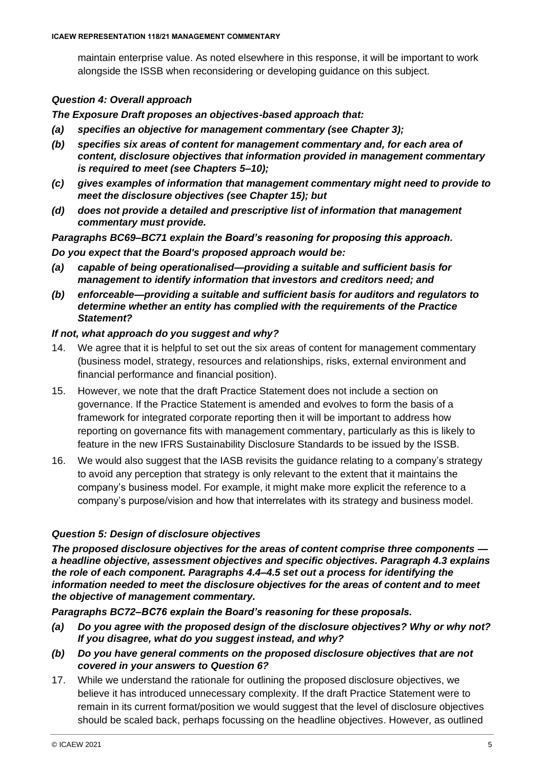maintain enterprise value. As noted elsewhere in this response, it will be important to work alongside the ISSB when reconsidering or developing guidance on this subject.

#### *Question 4: Overall approach*

#### *The Exposure Draft proposes an objectives-based approach that:*

- *(a) specifies an objective for management commentary (see Chapter 3);*
- *(b) specifies six areas of content for management commentary and, for each area of content, disclosure objectives that information provided in management commentary is required to meet (see Chapters 5–10);*
- *(c) gives examples of information that management commentary might need to provide to meet the disclosure objectives (see Chapter 15); but*
- *(d) does not provide a detailed and prescriptive list of information that management commentary must provide.*

*Paragraphs BC69–BC71 explain the Board's reasoning for proposing this approach. Do you expect that the Board's proposed approach would be:* 

- *(a) capable of being operationalised—providing a suitable and sufficient basis for management to identify information that investors and creditors need; and*
- *(b) enforceable—providing a suitable and sufficient basis for auditors and regulators to determine whether an entity has complied with the requirements of the Practice Statement?*

#### *If not, what approach do you suggest and why?*

- 14. We agree that it is helpful to set out the six areas of content for management commentary (business model, strategy, resources and relationships, risks, external environment and financial performance and financial position).
- 15. However, we note that the draft Practice Statement does not include a section on governance. If the Practice Statement is amended and evolves to form the basis of a framework for integrated corporate reporting then it will be important to address how reporting on governance fits with management commentary, particularly as this is likely to feature in the new IFRS Sustainability Disclosure Standards to be issued by the ISSB.
- 16. We would also suggest that the IASB revisits the guidance relating to a company's strategy to avoid any perception that strategy is only relevant to the extent that it maintains the company's business model. For example, it might make more explicit the reference to a company's purpose/vision and how that interrelates with its strategy and business model.

### *Question 5: Design of disclosure objectives*

*The proposed disclosure objectives for the areas of content comprise three components a headline objective, assessment objectives and specific objectives. Paragraph 4.3 explains the role of each component. Paragraphs 4.4–4.5 set out a process for identifying the information needed to meet the disclosure objectives for the areas of content and to meet the objective of management commentary.* 

*Paragraphs BC72–BC76 explain the Board's reasoning for these proposals.* 

- *(a) Do you agree with the proposed design of the disclosure objectives? Why or why not? If you disagree, what do you suggest instead, and why?*
- *(b) Do you have general comments on the proposed disclosure objectives that are not covered in your answers to Question 6?*
- 17. While we understand the rationale for outlining the proposed disclosure objectives, we believe it has introduced unnecessary complexity. If the draft Practice Statement were to remain in its current format/position we would suggest that the level of disclosure objectives should be scaled back, perhaps focussing on the headline objectives. However, as outlined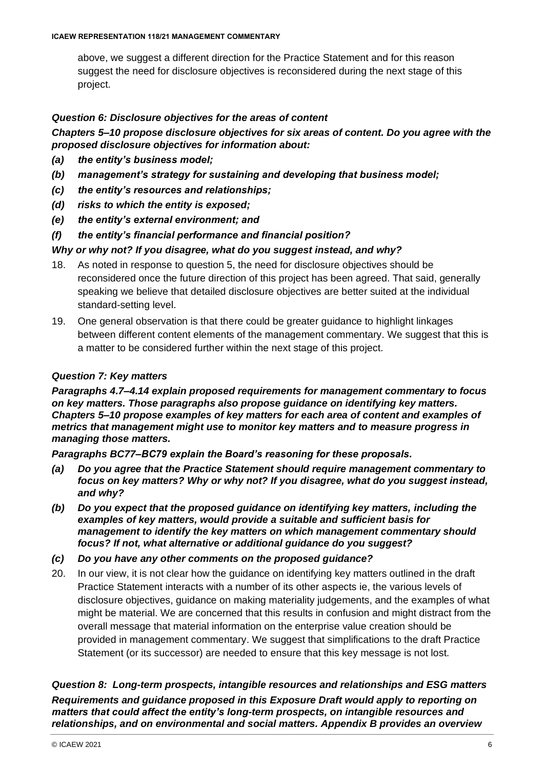above, we suggest a different direction for the Practice Statement and for this reason suggest the need for disclosure objectives is reconsidered during the next stage of this project.

#### *Question 6: Disclosure objectives for the areas of content*

*Chapters 5–10 propose disclosure objectives for six areas of content. Do you agree with the proposed disclosure objectives for information about:* 

- *(a) the entity's business model;*
- *(b) management's strategy for sustaining and developing that business model;*
- *(c) the entity's resources and relationships;*
- *(d) risks to which the entity is exposed;*
- *(e) the entity's external environment; and*
- *(f) the entity's financial performance and financial position?*

#### *Why or why not? If you disagree, what do you suggest instead, and why?*

- 18. As noted in response to question 5, the need for disclosure objectives should be reconsidered once the future direction of this project has been agreed. That said, generally speaking we believe that detailed disclosure objectives are better suited at the individual standard-setting level.
- 19. One general observation is that there could be greater guidance to highlight linkages between different content elements of the management commentary. We suggest that this is a matter to be considered further within the next stage of this project.

#### *Question 7: Key matters*

*Paragraphs 4.7–4.14 explain proposed requirements for management commentary to focus on key matters. Those paragraphs also propose guidance on identifying key matters. Chapters 5–10 propose examples of key matters for each area of content and examples of metrics that management might use to monitor key matters and to measure progress in managing those matters.* 

*Paragraphs BC77–BC79 explain the Board's reasoning for these proposals.* 

- *(a) Do you agree that the Practice Statement should require management commentary to focus on key matters? Why or why not? If you disagree, what do you suggest instead, and why?*
- *(b) Do you expect that the proposed guidance on identifying key matters, including the examples of key matters, would provide a suitable and sufficient basis for management to identify the key matters on which management commentary should focus? If not, what alternative or additional guidance do you suggest?*
- *(c) Do you have any other comments on the proposed guidance?*
- 20. In our view, it is not clear how the guidance on identifying key matters outlined in the draft Practice Statement interacts with a number of its other aspects ie, the various levels of disclosure objectives, guidance on making materiality judgements, and the examples of what might be material. We are concerned that this results in confusion and might distract from the overall message that material information on the enterprise value creation should be provided in management commentary. We suggest that simplifications to the draft Practice Statement (or its successor) are needed to ensure that this key message is not lost.

*Question 8: Long-term prospects, intangible resources and relationships and ESG matters Requirements and guidance proposed in this Exposure Draft would apply to reporting on matters that could affect the entity's long-term prospects, on intangible resources and relationships, and on environmental and social matters. Appendix B provides an overview*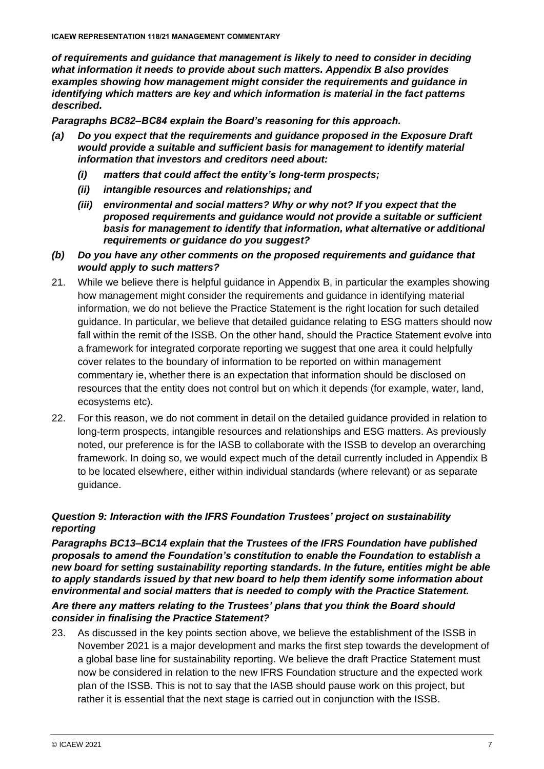*of requirements and guidance that management is likely to need to consider in deciding what information it needs to provide about such matters. Appendix B also provides examples showing how management might consider the requirements and guidance in identifying which matters are key and which information is material in the fact patterns described.*

*Paragraphs BC82–BC84 explain the Board's reasoning for this approach.* 

- *(a) Do you expect that the requirements and guidance proposed in the Exposure Draft would provide a suitable and sufficient basis for management to identify material information that investors and creditors need about:* 
	- *(i) matters that could affect the entity's long-term prospects;*
	- *(ii) intangible resources and relationships; and*
	- *(iii) environmental and social matters? Why or why not? If you expect that the proposed requirements and guidance would not provide a suitable or sufficient basis for management to identify that information, what alternative or additional requirements or guidance do you suggest?*
- *(b) Do you have any other comments on the proposed requirements and guidance that would apply to such matters?*
- 21. While we believe there is helpful guidance in Appendix B, in particular the examples showing how management might consider the requirements and guidance in identifying material information, we do not believe the Practice Statement is the right location for such detailed guidance. In particular, we believe that detailed guidance relating to ESG matters should now fall within the remit of the ISSB. On the other hand, should the Practice Statement evolve into a framework for integrated corporate reporting we suggest that one area it could helpfully cover relates to the boundary of information to be reported on within management commentary ie, whether there is an expectation that information should be disclosed on resources that the entity does not control but on which it depends (for example, water, land, ecosystems etc).
- 22. For this reason, we do not comment in detail on the detailed guidance provided in relation to long-term prospects, intangible resources and relationships and ESG matters. As previously noted, our preference is for the IASB to collaborate with the ISSB to develop an overarching framework. In doing so, we would expect much of the detail currently included in Appendix B to be located elsewhere, either within individual standards (where relevant) or as separate guidance.

## *Question 9: Interaction with the IFRS Foundation Trustees' project on sustainability reporting*

*Paragraphs BC13–BC14 explain that the Trustees of the IFRS Foundation have published proposals to amend the Foundation's constitution to enable the Foundation to establish a new board for setting sustainability reporting standards. In the future, entities might be able to apply standards issued by that new board to help them identify some information about environmental and social matters that is needed to comply with the Practice Statement.* 

#### *Are there any matters relating to the Trustees' plans that you think the Board should consider in finalising the Practice Statement?*

23. As discussed in the key points section above, we believe the establishment of the ISSB in November 2021 is a major development and marks the first step towards the development of a global base line for sustainability reporting. We believe the draft Practice Statement must now be considered in relation to the new IFRS Foundation structure and the expected work plan of the ISSB. This is not to say that the IASB should pause work on this project, but rather it is essential that the next stage is carried out in conjunction with the ISSB.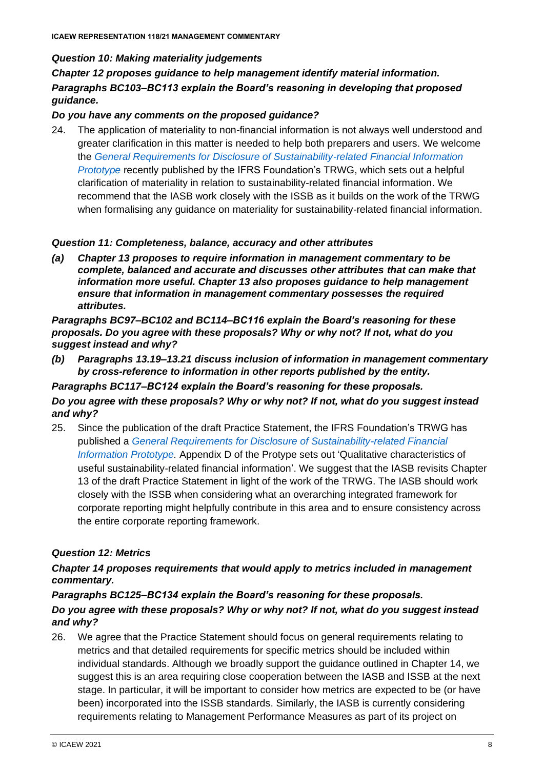#### *Question 10: Making materiality judgements*

*Chapter 12 proposes guidance to help management identify material information. Paragraphs BC103–BC113 explain the Board's reasoning in developing that proposed guidance.* 

#### *Do you have any comments on the proposed guidance?*

24. The application of materiality to non-financial information is not always well understood and greater clarification in this matter is needed to help both preparers and users. We welcome the *[General Requirements for Disclosure of Sustainability-related Financial Information](https://www.ifrs.org/content/dam/ifrs/groups/trwg/trwg-general-requirements-prototype.pdf)  [Prototype](https://www.ifrs.org/content/dam/ifrs/groups/trwg/trwg-general-requirements-prototype.pdf)* recently published by the IFRS Foundation's TRWG, which sets out a helpful clarification of materiality in relation to sustainability-related financial information. We recommend that the IASB work closely with the ISSB as it builds on the work of the TRWG when formalising any guidance on materiality for sustainability-related financial information.

#### *Question 11: Completeness, balance, accuracy and other attributes*

*(a) Chapter 13 proposes to require information in management commentary to be complete, balanced and accurate and discusses other attributes that can make that information more useful. Chapter 13 also proposes guidance to help management ensure that information in management commentary possesses the required attributes.* 

*Paragraphs BC97–BC102 and BC114–BC116 explain the Board's reasoning for these proposals. Do you agree with these proposals? Why or why not? If not, what do you suggest instead and why?* 

*(b) Paragraphs 13.19–13.21 discuss inclusion of information in management commentary by cross-reference to information in other reports published by the entity.* 

#### *Paragraphs BC117–BC124 explain the Board's reasoning for these proposals. Do you agree with these proposals? Why or why not? If not, what do you suggest instead and why?*

25. Since the publication of the draft Practice Statement, the IFRS Foundation's TRWG has published a *[General Requirements for Disclosure of Sustainability-related Financial](https://www.ifrs.org/content/dam/ifrs/groups/trwg/trwg-general-requirements-prototype.pdf)  [Information Prototype.](https://www.ifrs.org/content/dam/ifrs/groups/trwg/trwg-general-requirements-prototype.pdf)* Appendix D of the Protype sets out 'Qualitative characteristics of useful sustainability-related financial information'. We suggest that the IASB revisits Chapter 13 of the draft Practice Statement in light of the work of the TRWG. The IASB should work closely with the ISSB when considering what an overarching integrated framework for corporate reporting might helpfully contribute in this area and to ensure consistency across the entire corporate reporting framework.

### *Question 12: Metrics*

### *Chapter 14 proposes requirements that would apply to metrics included in management commentary.*

### *Paragraphs BC125–BC134 explain the Board's reasoning for these proposals. Do you agree with these proposals? Why or why not? If not, what do you suggest instead and why?*

26. We agree that the Practice Statement should focus on general requirements relating to metrics and that detailed requirements for specific metrics should be included within individual standards. Although we broadly support the guidance outlined in Chapter 14, we suggest this is an area requiring close cooperation between the IASB and ISSB at the next stage. In particular, it will be important to consider how metrics are expected to be (or have been) incorporated into the ISSB standards. Similarly, the IASB is currently considering requirements relating to Management Performance Measures as part of its project on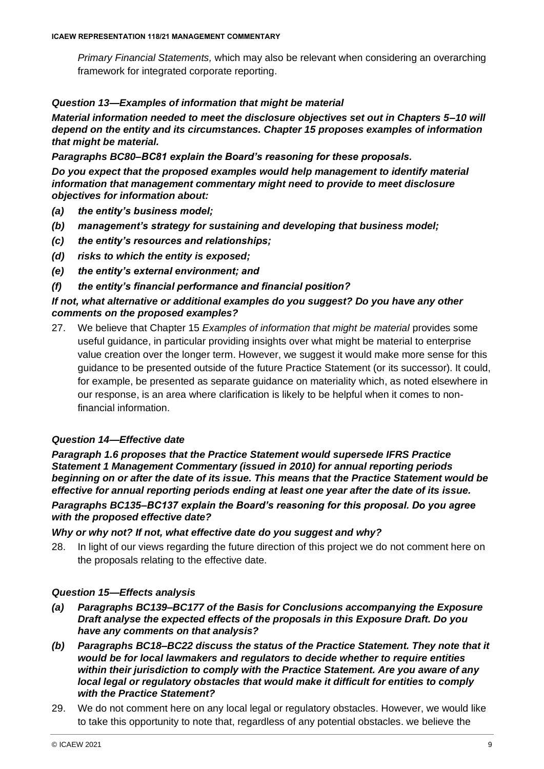*Primary Financial Statements,* which may also be relevant when considering an overarching framework for integrated corporate reporting.

### *Question 13—Examples of information that might be material*

*Material information needed to meet the disclosure objectives set out in Chapters 5–10 will depend on the entity and its circumstances. Chapter 15 proposes examples of information that might be material.* 

*Paragraphs BC80–BC81 explain the Board's reasoning for these proposals.* 

*Do you expect that the proposed examples would help management to identify material information that management commentary might need to provide to meet disclosure objectives for information about:* 

- *(a) the entity's business model;*
- *(b) management's strategy for sustaining and developing that business model;*
- *(c) the entity's resources and relationships;*
- *(d) risks to which the entity is exposed;*
- *(e) the entity's external environment; and*
- *(f) the entity's financial performance and financial position?*

#### *If not, what alternative or additional examples do you suggest? Do you have any other comments on the proposed examples?*

27. We believe that Chapter 15 *Examples of information that might be material* provides some useful guidance, in particular providing insights over what might be material to enterprise value creation over the longer term. However, we suggest it would make more sense for this guidance to be presented outside of the future Practice Statement (or its successor). It could, for example, be presented as separate guidance on materiality which, as noted elsewhere in our response, is an area where clarification is likely to be helpful when it comes to nonfinancial information.

### *Question 14—Effective date*

*Paragraph 1.6 proposes that the Practice Statement would supersede IFRS Practice Statement 1 Management Commentary (issued in 2010) for annual reporting periods beginning on or after the date of its issue. This means that the Practice Statement would be effective for annual reporting periods ending at least one year after the date of its issue.* 

*Paragraphs BC135–BC137 explain the Board's reasoning for this proposal. Do you agree with the proposed effective date?* 

#### *Why or why not? If not, what effective date do you suggest and why?*

28. In light of our views regarding the future direction of this project we do not comment here on the proposals relating to the effective date.

### *Question 15—Effects analysis*

- *(a) Paragraphs BC139–BC177 of the Basis for Conclusions accompanying the Exposure Draft analyse the expected effects of the proposals in this Exposure Draft. Do you have any comments on that analysis?*
- *(b) Paragraphs BC18–BC22 discuss the status of the Practice Statement. They note that it would be for local lawmakers and regulators to decide whether to require entities within their jurisdiction to comply with the Practice Statement. Are you aware of any local legal or regulatory obstacles that would make it difficult for entities to comply with the Practice Statement?*
- 29. We do not comment here on any local legal or regulatory obstacles. However, we would like to take this opportunity to note that, regardless of any potential obstacles. we believe the